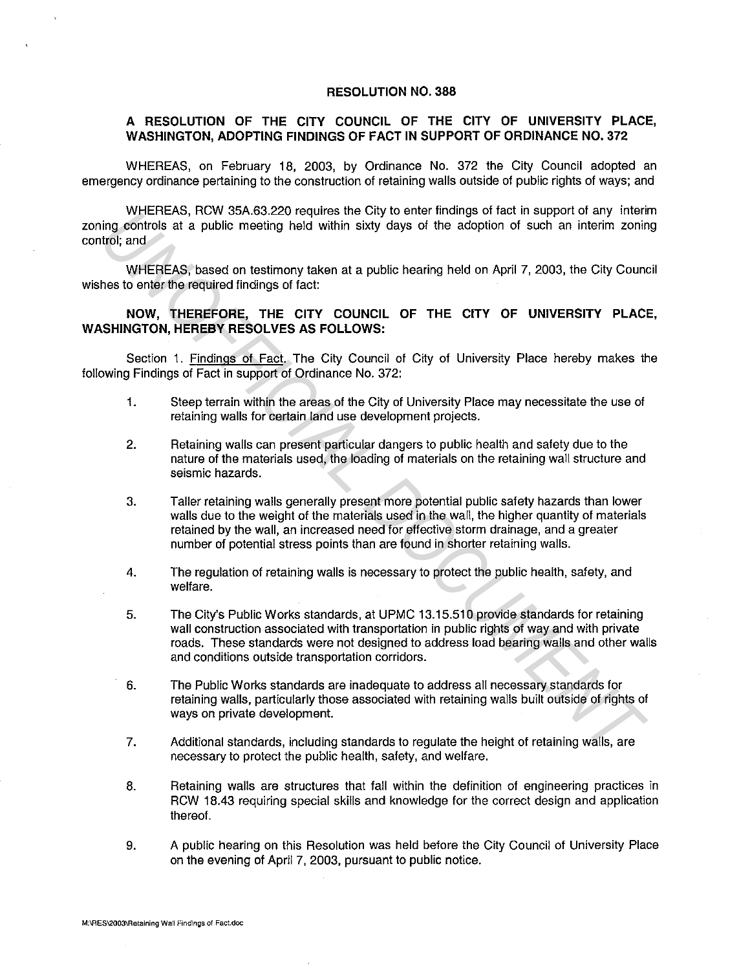## **RESOLUTION NO. 388**

## **A RESOLUTION OF THE CITY COUNCIL OF THE CITY OF UNIVERSITY PLACE, WASHINGTON, ADOPTING FINDINGS OF FACT IN SUPPORT OF ORDINANCE NO. 372**

WHEREAS, on February 18, 2003, by Ordinance No. 372 the City Council adopted an emergency ordinance pertaining to the construction of retaining walls outside of public rights of ways; and

WHEREAS, RCW 35A.63.220 requires the City to enter findings of fact in support of any interim zoning controls at a public meeting held within sixty days of the adoption of such an interim zoning control; and

WHEREAS, based on testimony taken at a public hearing held on April 7, 2003, the City Council wishes to enter the required findings of fact:

## **NOW, THEREFORE, THE CITY COUNCIL OF THE CITY OF UNIVERSITY PLACE, WASHINGTON, HEREBY RESOLVES AS FOLLOWS:**

Section 1. Findings of Fact. The City Council of City of University Place hereby makes the following Findings of Fact in support of Ordinance No. 372:

- 1. Steep terrain within the areas of the City of University Place may necessitate the use of retaining walls for certain land use development projects.
- 2. Retaining walls can present particular dangers to public health and safety due to the nature of the materials used, the loading of materials on the retaining wall structure and seismic hazards.
- 3. Taller retaining walls generally present more potential public safety hazards than lower walls due to the weight of the materials used in the wall, the higher quantity of materials retained by the wall, an increased need for effective storm drainage, and a greater number of potential stress points than are found in shorter retaining walls. WelfFIEAS, two sex-acced requires me clay to emeriminang or near to appoint or any interest.<br> **UNEFIEAS, based on testimory taken at a public hearing held on April 7, 2003, the City Council<br>
UNEFIEAS, based on testimory ta** 
	- 4. The regulation of retaining walls is necessary to protect the public health, safety, and welfare.
	- 5. The City's Public Works standards, at UPMC 13.15.510 provide standards for retaining wall construction associated with transportation in public rights of way and with private roads. These standards were not designed to address load bearing walls and other walls and conditions outside transportation corridors.
	- 6. The Public Works standards are inadequate to address all necessary standards for retaining walls, particularly those associated with retaining walls built outside of rights of ways on private development.
	- 7. Additional standards, including standards to regulate the height of retaining walls, are necessary to protect the public health, safety, and welfare.
	- 8. Retaining walls are structures that fall within the definition of engineering practices in RCW 18.43 requiring special skills and knowledge for the correct design and application thereof.
	- 9. A public hearing on this Resolution was held before the City Council of University Place on the evening of April 7, 2003, pursuant to public notice.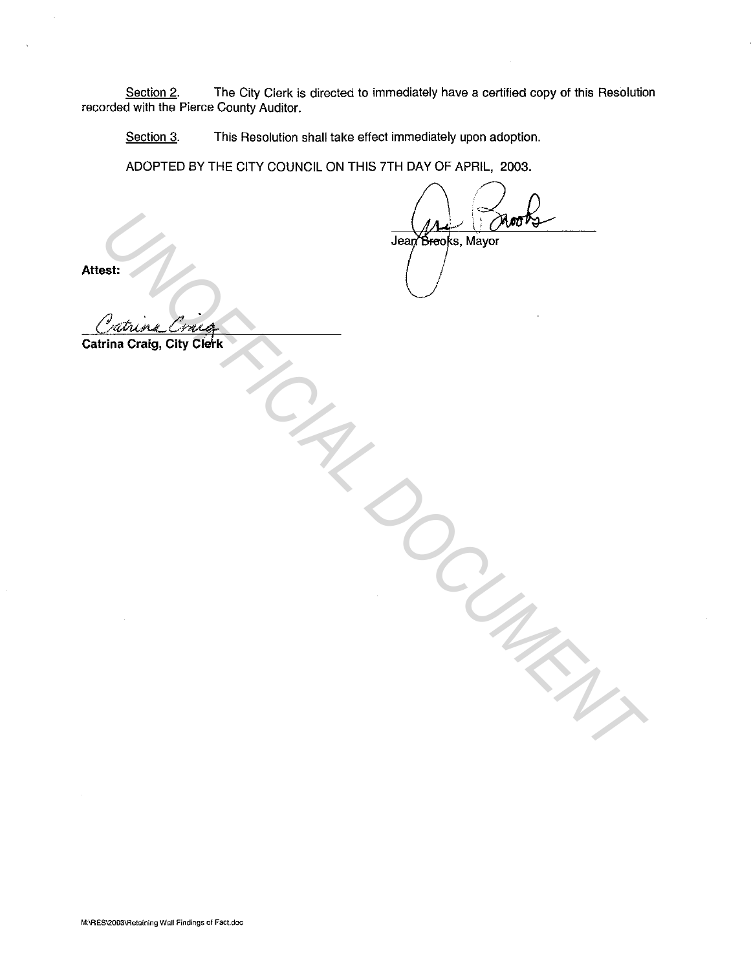Section 2. The City Clerk is directed to immediately have a certified copy of this Resolution recorded with the Pierce County Auditor.

Section 3. This Resolution shall take effect immediately upon adoption.

ADOPTED BY THE CITY COUNCIL ON THIS ?TH DAY OF APRIL, 2003.

**Attest:**  $\left( \begin{array}{ccc} \end{array} \right)$ 

USE Transformer Content Content Content Content Content Content Content Content Content Content Content Content Content Content Content Content Content Content Content Content Content Content Content Content Content Conten